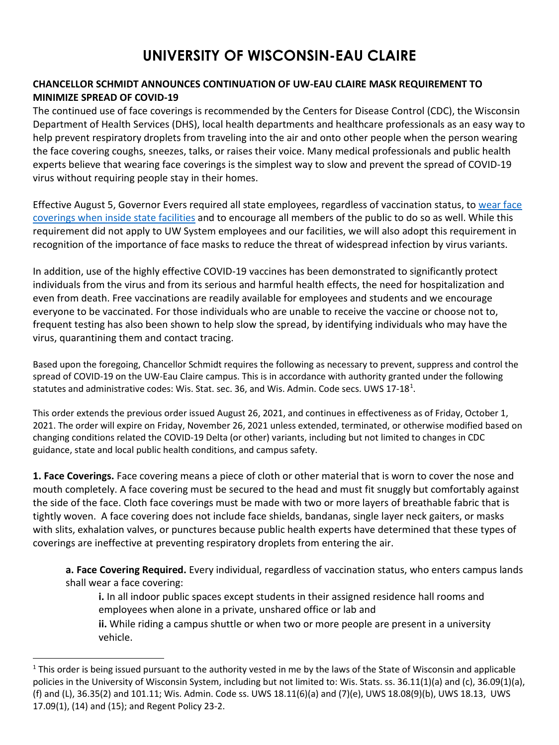## **UNIVERSITY OF WISCONSIN-EAU CLAIRE**

## **CHANCELLOR SCHMIDT ANNOUNCES CONTINUATION OF UW-EAU CLAIRE MASK REQUIREMENT TO MINIMIZE SPREAD OF COVID-19**

The continued use of face coverings is recommended by the Centers for Disease Control (CDC), the Wisconsin Department of Health Services (DHS), local health departments and healthcare professionals as an easy way to help prevent respiratory droplets from traveling into the air and onto other people when the person wearing the face covering coughs, sneezes, talks, or raises their voice. Many medical professionals and public health experts believe that wearing face coverings is the simplest way to slow and prevent the spread of COVID-19 virus without requiring people stay in their homes.

Effective August 5, Governor Evers required all state employees, regardless of vaccination status, to wear face [coverings when inside state facilities](https://dpm.wi.gov/Documents/Stop_the_Spread_State_Government_Guidance_210804.pdf) and to encourage all members of the public to do so as well. While this requirement did not apply to UW System employees and our facilities, we will also adopt this requirement in recognition of the importance of face masks to reduce the threat of widespread infection by virus variants.

In addition, use of the highly effective COVID-19 vaccines has been demonstrated to significantly protect individuals from the virus and from its serious and harmful health effects, the need for hospitalization and even from death. Free vaccinations are readily available for employees and students and we encourage everyone to be vaccinated. For those individuals who are unable to receive the vaccine or choose not to, frequent testing has also been shown to help slow the spread, by identifying individuals who may have the virus, quarantining them and contact tracing.

Based upon the foregoing, Chancellor Schmidt requires the following as necessary to prevent, suppress and control the spread of COVID-19 on the UW-Eau Claire campus. This is in accordance with authority granted under the following statutes and administrative codes: Wis. Stat. sec. 36, and Wis. Admin. Code secs. UWS [1](#page-0-0)7-18<sup>1</sup>.

This order extends the previous order issued August 26, 2021, and continues in effectiveness as of Friday, October 1, 2021. The order will expire on Friday, November 26, 2021 unless extended, terminated, or otherwise modified based on changing conditions related the COVID-19 Delta (or other) variants, including but not limited to changes in CDC guidance, state and local public health conditions, and campus safety.

**1. Face Coverings.** Face covering means a piece of cloth or other material that is worn to cover the nose and mouth completely. A face covering must be secured to the head and must fit snuggly but comfortably against the side of the face. Cloth face coverings must be made with two or more layers of breathable fabric that is tightly woven. A face covering does not include face shields, bandanas, single layer neck gaiters, or masks with slits, exhalation valves, or punctures because public health experts have determined that these types of coverings are ineffective at preventing respiratory droplets from entering the air.

**a. Face Covering Required.** Every individual, regardless of vaccination status, who enters campus lands shall wear a face covering:

**i.** In all indoor public spaces except students in their assigned residence hall rooms and employees when alone in a private, unshared office or lab and **ii.** While riding a campus shuttle or when two or more people are present in a university vehicle.

<span id="page-0-0"></span> $1$  This order is being issued pursuant to the authority vested in me by the laws of the State of Wisconsin and applicable policies in the University of Wisconsin System, including but not limited to: Wis. Stats. ss. 36.11(1)(a) and (c), 36.09(1)(a), (f) and (L), 36.35(2) and 101.11; Wis. Admin. Code ss. UWS 18.11(6)(a) and (7)(e), UWS 18.08(9)(b), UWS 18.13, UWS 17.09(1), (14) and (15); and Regent Policy 23-2.